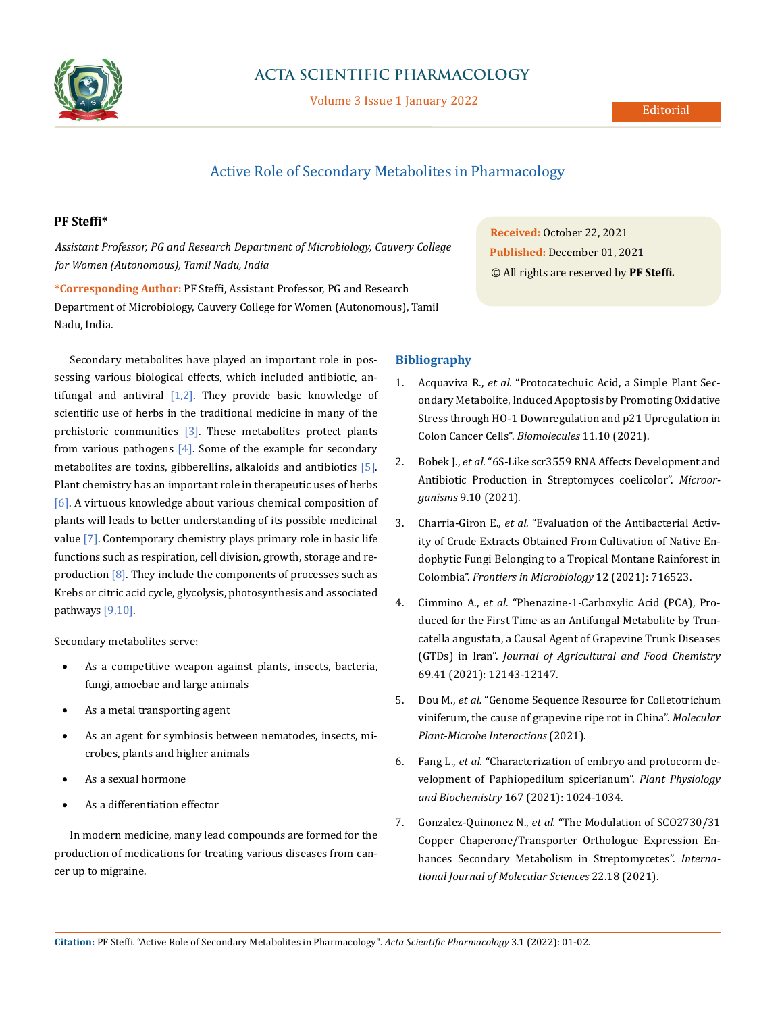

## **ACTA SCIENTIFIC PHARMACOLOGY**

Volume 3 Issue 1 January 2022

## Active Role of Secondary Metabolites in Pharmacology

## **PF Steffi\***

*Assistant Professor, PG and Research Department of Microbiology, Cauvery College for Women (Autonomous), Tamil Nadu, India*

**\*Corresponding Author:** PF Steffi, Assistant Professor, PG and Research Department of Microbiology, Cauvery College for Women (Autonomous), Tamil Nadu, India.

Secondary metabolites have played an important role in possessing various biological effects, which included antibiotic, antifungal and antiviral  $[1,2]$ . They provide basic knowledge of scientific use of herbs in the traditional medicine in many of the prehistoric communities  $[3]$ . These metabolites protect plants from various pathogens  $[4]$ . Some of the example for secondary metabolites are toxins, gibberellins, alkaloids and antibiotics [5]. Plant chemistry has an important role in therapeutic uses of herbs [6]. A virtuous knowledge about various chemical composition of plants will leads to better understanding of its possible medicinal value [7]. Contemporary chemistry plays primary role in basic life functions such as respiration, cell division, growth, storage and reproduction  $[8]$ . They include the components of processes such as Krebs or citric acid cycle, glycolysis, photosynthesis and associated pathways [9,10].

Secondary metabolites serve:

- As a competitive weapon against plants, insects, bacteria, fungi, amoebae and large animals
- As a metal transporting agent
- As an agent for symbiosis between nematodes, insects, microbes, plants and higher animals
- As a sexual hormone
- As a differentiation effector

In modern medicine, many lead compounds are formed for the production of medications for treating various diseases from cancer up to migraine.

**Received:** October 22, 2021 **Published:** December 01, 2021 © All rights are reserved by **PF Steffi***.*

## **Bibliography**

- 1. Acquaviva R., *et al.* ["Protocatechuic Acid, a Simple Plant Sec](https://pubmed.ncbi.nlm.nih.gov/34680118/)[ondary Metabolite, Induced Apoptosis by Promoting Oxidative](https://pubmed.ncbi.nlm.nih.gov/34680118/)  [Stress through HO-1 Downregulation and p21 Upregulation in](https://pubmed.ncbi.nlm.nih.gov/34680118/)  [Colon Cancer Cells".](https://pubmed.ncbi.nlm.nih.gov/34680118/) *Biomolecules* 11.10 (2021).
- 2. Bobek J., *et al.* ["6S-Like scr3559 RNA Affects Development and](https://pubmed.ncbi.nlm.nih.gov/34683325/)  [Antibiotic Production in Streptomyces coelicolor".](https://pubmed.ncbi.nlm.nih.gov/34683325/) *Microorganisms* [9.10 \(2021\).](https://pubmed.ncbi.nlm.nih.gov/34683325/)
- 3. Charria-Giron E., *et al.* ["Evaluation of the Antibacterial Activ](https://www.frontiersin.org/articles/10.3389/fmicb.2021.716523/full)[ity of Crude Extracts Obtained From Cultivation of Native En](https://www.frontiersin.org/articles/10.3389/fmicb.2021.716523/full)[dophytic Fungi Belonging to a Tropical Montane Rainforest in](https://www.frontiersin.org/articles/10.3389/fmicb.2021.716523/full)  Colombia". *[Frontiers in Microbiology](https://www.frontiersin.org/articles/10.3389/fmicb.2021.716523/full)* 12 (2021): 716523.
- 4. Cimmino A., *et al.* ["Phenazine-1-Carboxylic Acid \(PCA\), Pro](https://pubmed.ncbi.nlm.nih.gov/34623150/)[duced for the First Time as an Antifungal Metabolite by Trun](https://pubmed.ncbi.nlm.nih.gov/34623150/)[catella angustata, a Causal Agent of Grapevine Trunk Diseases](https://pubmed.ncbi.nlm.nih.gov/34623150/)  (GTDs) in Iran". *[Journal of Agricultural and Food Chemistry](https://pubmed.ncbi.nlm.nih.gov/34623150/)*  [69.41 \(2021\): 12143-12147.](https://pubmed.ncbi.nlm.nih.gov/34623150/)
- 5. Dou M., *et al.* ["Genome Sequence Resource for Colletotrichum](https://pubmed.ncbi.nlm.nih.gov/34569260/)  [viniferum, the cause of grapevine ripe rot in China".](https://pubmed.ncbi.nlm.nih.gov/34569260/) *Molecular [Plant-Microbe Interactions](https://pubmed.ncbi.nlm.nih.gov/34569260/)* (2021).
- 6. Fang L., *et al.* ["Characterization of embryo and protocorm de](https://www.sciencedirect.com/science/article/abs/pii/S0981942821004654)[velopment of Paphiopedilum spicerianum".](https://www.sciencedirect.com/science/article/abs/pii/S0981942821004654) *Plant Physiology and Biochemistry* [167 \(2021\): 1024-1034.](https://www.sciencedirect.com/science/article/abs/pii/S0981942821004654)
- 7. Gonzalez-Quinonez N., *et al.* ["The Modulation of SCO2730/31](https://www.mdpi.com/1422-0067/22/18/10143)  [Copper Chaperone/Transporter Orthologue Expression En](https://www.mdpi.com/1422-0067/22/18/10143)[hances Secondary Metabolism in Streptomycetes".](https://www.mdpi.com/1422-0067/22/18/10143) *Interna[tional Journal of Molecular Sciences](https://www.mdpi.com/1422-0067/22/18/10143)* 22.18 (2021).